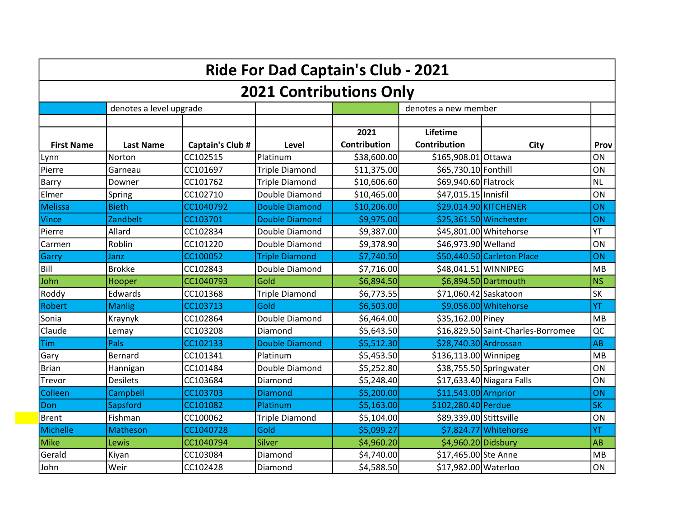|                   |                         |                  | Ride For Dad Captain's Club - 2021 |                             |                          |                                    |             |
|-------------------|-------------------------|------------------|------------------------------------|-----------------------------|--------------------------|------------------------------------|-------------|
|                   |                         |                  | <b>2021 Contributions Only</b>     |                             |                          |                                    |             |
|                   | denotes a level upgrade |                  |                                    |                             | denotes a new member     |                                    |             |
| <b>First Name</b> | <b>Last Name</b>        | Captain's Club # | Level                              | 2021<br><b>Contribution</b> | Lifetime<br>Contribution | <b>City</b>                        | <b>Prov</b> |
| Lynn              | Norton                  | CC102515         | Platinum                           | \$38,600.00                 | \$165,908.01 Ottawa      |                                    | ON          |
| Pierre            | Garneau                 | CC101697         | <b>Triple Diamond</b>              | \$11,375.00                 | \$65,730.10 Fonthill     |                                    | ON          |
| Barry             | Downer                  | CC101762         | <b>Triple Diamond</b>              | \$10,606.60                 | \$69,940.60 Flatrock     |                                    | <b>NL</b>   |
| Elmer             | Spring                  | CC102710         | Double Diamond                     | \$10,465.00                 | \$47,015.15 Innisfil     |                                    | ON          |
| <b>Melissa</b>    | <b>Bieth</b>            | CC1040792        | <b>Double Diamond</b>              | \$10,206.00                 |                          | \$29,014.90 KITCHENER              | ON          |
| <b>Vince</b>      | Zandbelt                | CC103701         | <b>Double Diamond</b>              | \$9,975.00                  |                          | \$25,361.50 Winchester             | ON          |
| Pierre            | Allard                  | CC102834         | Double Diamond                     | \$9,387.00                  |                          | \$45,801.00 Whitehorse             | YT          |
| Carmen            | Roblin                  | CC101220         | Double Diamond                     | \$9,378.90                  | \$46,973.90 Welland      |                                    | ON          |
| Garry             | Janz                    | CC100052         | <b>Triple Diamond</b>              | \$7,740.50                  |                          | \$50,440.50 Carleton Place         | ON          |
| Bill              | <b>Brokke</b>           | CC102843         | Double Diamond                     | \$7,716.00                  |                          | \$48,041.51 WINNIPEG               | MB          |
| John              | Hooper                  | CC1040793        | Gold                               | \$6,894.50                  |                          | \$6,894.50 Dartmouth               | <b>NS</b>   |
| Roddy             | Edwards                 | CC101368         | <b>Triple Diamond</b>              | \$6,773.55                  | \$71,060.42 Saskatoon    |                                    | SK          |
| Robert            | <b>Manlig</b>           | CC103713         | Gold                               | \$6,503.00                  |                          | \$9,056.00 Whitehorse              | YT          |
| Sonia             | Kraynyk                 | CC102864         | Double Diamond                     | \$6,464.00                  | \$35,162.00 Piney        |                                    | <b>MB</b>   |
| Claude            | Lemay                   | CC103208         | Diamond                            | \$5,643.50                  |                          | \$16,829.50 Saint-Charles-Borromee | QC          |
| <b>Tim</b>        | Pals                    | CC102133         | <b>Double Diamond</b>              | \$5,512.30                  | \$28,740.30 Ardrossan    |                                    | <b>AB</b>   |
| Gary              | <b>Bernard</b>          | CC101341         | Platinum                           | \$5,453.50                  | \$136,113.00 Winnipeg    |                                    | MB          |
| <b>Brian</b>      | Hannigan                | CC101484         | Double Diamond                     | \$5,252.80                  |                          | \$38,755.50 Springwater            | ON          |
| Trevor            | <b>Desilets</b>         | CC103684         | Diamond                            | \$5,248.40                  |                          | \$17,633.40 Niagara Falls          | ON          |
| Colleen           | Campbell                | CC103703         | <b>Diamond</b>                     | \$5,200.00                  | $$11,543.00$ Arnprior    |                                    | ON          |
| Don               | Sapsford                | CC101082         | Platinum                           | \$5,163.00                  | \$102,280.40 Perdue      |                                    | <b>SK</b>   |
| <b>Brent</b>      | Fishman                 | CC100062         | <b>Triple Diamond</b>              | \$5,104.00                  | \$89,339.00 Stittsville  |                                    | ON          |
| Michelle          | Matheson                | CC1040728        | Gold                               | \$5,099.27                  |                          | \$7,824.77 Whitehorse              | YT          |
| <b>Mike</b>       | Lewis                   | CC1040794        | Silver                             | \$4,960.20                  | \$4,960.20 Didsbury      |                                    | <b>AB</b>   |
| Gerald            | Kiyan                   | CC103084         | Diamond                            | \$4,740.00                  | \$17,465.00 Ste Anne     |                                    | MB          |
| John              | Weir                    | CC102428         | Diamond                            | \$4,588.50                  | \$17,982.00 Waterloo     |                                    | ON          |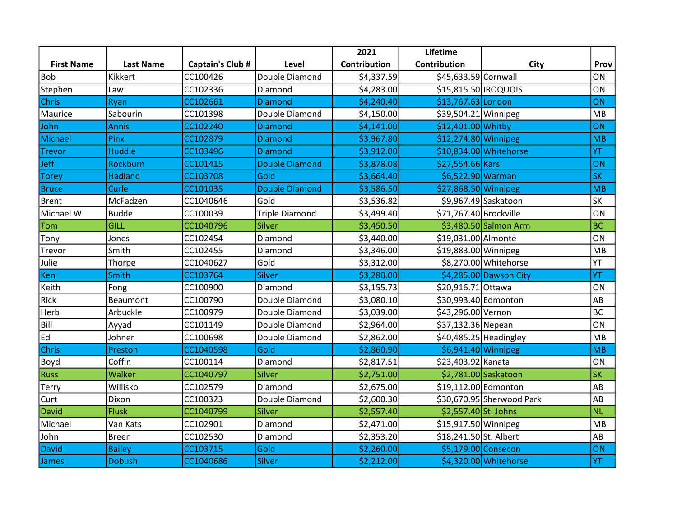|                   |                  |                  |                       | 2021                | Lifetime               |                           |           |
|-------------------|------------------|------------------|-----------------------|---------------------|------------------------|---------------------------|-----------|
| <b>First Name</b> | <b>Last Name</b> | Captain's Club # | Level                 | <b>Contribution</b> | Contribution           | City                      | Prov      |
| <b>Bob</b>        | Kikkert          | CC100426         | Double Diamond        | \$4,337.59          | \$45,633.59 Cornwall   |                           | ON        |
| Stephen           | Law              | CC102336         | Diamond               | \$4,283.00          | \$15,815.50 IROQUOIS   |                           | ON        |
| <b>Chris</b>      | Ryan             | CC102661         | Diamond               | \$4,240.40          | \$13,767.63 London     |                           | <b>ON</b> |
| Maurice           | Sabourin         | CC101398         | Double Diamond        | \$4,150.00          | \$39,504.21 Winnipeg   |                           | MB        |
| John              | <b>Annis</b>     | CC102240         | <b>Diamond</b>        | \$4,141.00          | \$12,401.00 Whitby     |                           | ON        |
| Michael           | Pinx             | CC102879         | <b>Diamond</b>        | \$3,967.80          | \$12,274.80 Winnipeg   |                           | MB        |
| <b>Trevor</b>     | <b>Huddle</b>    | CC103496         | Diamond               | \$3,912.00          |                        | \$10,834.00 Whitehorse    | YT        |
| <b>Jeff</b>       | <b>Rockburn</b>  | CC101415         | <b>Double Diamond</b> | \$3,878.08          | \$27,554.66 Kars       |                           | ON        |
| <b>Torey</b>      | <b>Hadland</b>   | CC103708         | Gold                  | \$3,664.40          | \$6,522.90 Warman      |                           | <b>SK</b> |
| <b>Bruce</b>      | Curle            | CC101035         | <b>Double Diamond</b> | \$3,586.50          | \$27,868.50 Winnipeg   |                           | MB        |
| <b>Brent</b>      | McFadzen         | CC1040646        | Gold                  | \$3,536.82          |                        | \$9,967.49 Saskatoon      | <b>SK</b> |
| Michael W         | <b>Budde</b>     | CC100039         | <b>Triple Diamond</b> | \$3,499.40          | \$71,767.40 Brockville |                           | ON        |
| Tom               | <b>GILL</b>      | CC1040796        | Silver                | \$3,450.50          |                        | \$3,480.50 Salmon Arm     | <b>BC</b> |
| Tony              | Jones            | CC102454         | Diamond               | \$3,440.00          | \$19,031.00 Almonte    |                           | ON        |
| Trevor            | Smith            | CC102455         | Diamond               | \$3,346.00          | \$19,883.00 Winnipeg   |                           | MB        |
| Julie             | Thorpe           | CC1040627        | Gold                  | \$3,312.00          |                        | \$8,270.00 Whitehorse     | YT        |
| Ken               | Smith            | CC103764         | Silver                | \$3,280.00          |                        | \$4,285.00 Dawson City    | YT        |
| Keith             | Fong             | CC100900         | Diamond               | \$3,155.73          | \$20,916.71 Ottawa     |                           | ON        |
| <b>Rick</b>       | <b>Beaumont</b>  | CC100790         | Double Diamond        | \$3,080.10          | \$30,993.40 Edmonton   |                           | AB        |
| Herb              | Arbuckle         | CC100979         | Double Diamond        | \$3,039.00          | \$43,296.00 Vernon     |                           | <b>BC</b> |
| Bill              | Ayyad            | CC101149         | Double Diamond        | \$2,964.00          | \$37,132.36 Nepean     |                           | ON        |
| Ed                | Johner           | CC100698         | Double Diamond        | \$2,862.00          |                        | $$40,485.25$ Headingley   | MB        |
| <b>Chris</b>      | Preston          | CC1040598        | Gold                  | \$2,860.90          |                        | $$6,941.40$ Winnipeg      | MB        |
| Boyd              | Coffin           | CC100114         | Diamond               | \$2,817.51          | \$23,403.92 Kanata     |                           | ON        |
| <b>Russ</b>       | Walker           | CC1040797        | Silver                | \$2,751.00          |                        | \$2,781.00 Saskatoon      | <b>SK</b> |
| Terry             | Willisko         | CC102579         | Diamond               | \$2,675.00          | \$19,112.00 Edmonton   |                           | AB        |
| Curt              | Dixon            | CC100323         | Double Diamond        | \$2,600.30          |                        | \$30,670.95 Sherwood Park | AB        |
| <b>David</b>      | <b>Flusk</b>     | CC1040799        | Silver                | \$2,557.40          | \$2,557.40 St. Johns   |                           | <b>NL</b> |
| Michael           | Van Kats         | CC102901         | Diamond               | \$2,471.00          | \$15,917.50 Winnipeg   |                           | MB        |
| John              | Breen            | CC102530         | Diamond               | \$2,353.20          | \$18,241.50 St. Albert |                           | AB        |
| <b>David</b>      | <b>Bailey</b>    | CC103715         | Gold                  | \$2,260.00          |                        | \$5,179.00 Consecon       | ON        |
| James             | <b>Dobush</b>    | CC1040686        | <b>Silver</b>         | \$2,212.00          |                        | \$4,320.00 Whitehorse     | YT        |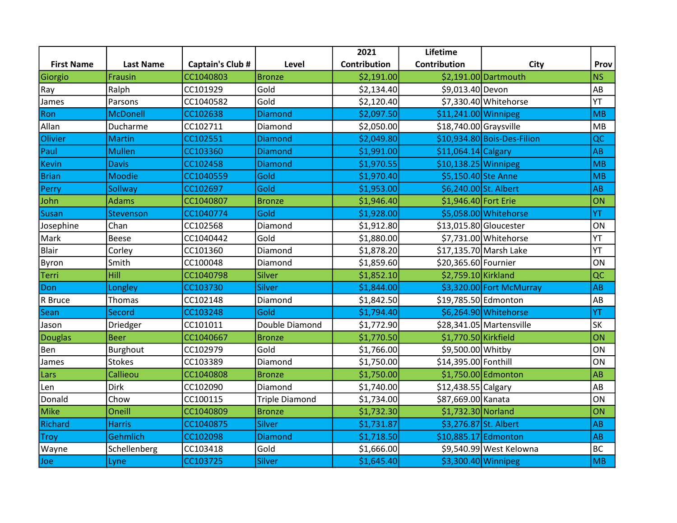|                   |                  |                  |                       | 2021                | Lifetime                |                             |           |
|-------------------|------------------|------------------|-----------------------|---------------------|-------------------------|-----------------------------|-----------|
| <b>First Name</b> | <b>Last Name</b> | Captain's Club # | Level                 | <b>Contribution</b> | Contribution            | City                        | Prov      |
| Giorgio           | Frausin          | CC1040803        | <b>Bronze</b>         | \$2,191.00          |                         | \$2,191.00 Dartmouth        | <b>NS</b> |
| Ray               | Ralph            | CC101929         | Gold                  | \$2,134.40          | \$9,013.40 Devon        |                             | AB        |
| James             | Parsons          | CC1040582        | Gold                  | \$2,120.40          |                         | \$7,330.40 Whitehorse       | YT        |
| Ron               | <b>McDonell</b>  | CC102638         | <b>Diamond</b>        | \$2,097.50          | \$11,241.00 Winnipeg    |                             | MB        |
| Allan             | Ducharme         | CC102711         | Diamond               | \$2,050.00          | $$18,740.00$ Graysville |                             | MB        |
| Olivier           | <b>Martin</b>    | CC102551         | <b>Diamond</b>        | \$2,049.80          |                         | \$10,934.80 Bois-Des-Filion | QC        |
| Paul              | <b>Mullen</b>    | CC103360         | <b>Diamond</b>        | \$1,991.00          | $$11,064.14$ Calgary    |                             | AB        |
| <b>Kevin</b>      | <b>Davis</b>     | CC102458         | <b>Diamond</b>        | \$1,970.55          | $$10,138.25$ Winnipeg   |                             | MB        |
| <b>Brian</b>      | <b>Moodie</b>    | CC1040559        | Gold                  | \$1,970.40          | \$5,150.40 Ste Anne     |                             | MB        |
| Perry             | Sollway          | CC102697         | Gold                  | \$1,953.00          | \$6,240.00 St. Albert   |                             | AB        |
| John              | <b>Adams</b>     | CC1040807        | <b>Bronze</b>         | \$1,946.40          | \$1,946.40 Fort Erie    |                             | ON        |
| <b>Susan</b>      | Stevenson        | CC1040774        | Gold                  | \$1,928.00          |                         | \$5,058.00 Whitehorse       | YT        |
| Josephine         | Chan             | CC102568         | Diamond               | \$1,912.80          |                         | \$13,015.80 Gloucester      | ON        |
| Mark              | Beese            | CC1040442        | Gold                  | \$1,880.00          |                         | \$7,731.00 Whitehorse       | YT        |
| <b>Blair</b>      | Corley           | CC101360         | Diamond               | \$1,878.20          |                         | \$17,135.70 Marsh Lake      | YT        |
| Byron             | Smith            | CC100048         | Diamond               | \$1,859.60          | \$20,365.60 Fournier    |                             | ON        |
| <b>Terri</b>      | Hill             | CC1040798        | Silver                | \$1,852.10          | \$2,759.10 Kirkland     |                             | QC        |
| Don               | Longley          | CC103730         | <b>Silver</b>         | \$1,844.00          |                         | \$3,320.00 Fort McMurray    | AB        |
| R Bruce           | Thomas           | CC102148         | Diamond               | \$1,842.50          | \$19,785.50 Edmonton    |                             | AB        |
| Sean              | Secord           | CC103248         | Gold                  | \$1,794.40          |                         | \$6,264.90 Whitehorse       | YT        |
| Jason             | Driedger         | CC101011         | Double Diamond        | \$1,772.90          |                         | \$28,341.05 Martensville    | <b>SK</b> |
| <b>Douglas</b>    | <b>Beer</b>      | CC1040667        | <b>Bronze</b>         | \$1,770.50          | \$1,770.50 Kirkfield    |                             | ON        |
| Ben               | <b>Burghout</b>  | CC102979         | Gold                  | \$1,766.00          | \$9,500.00 Whitby       |                             | ON        |
| James             | <b>Stokes</b>    | CC103389         | Diamond               | \$1,750.00          | \$14,395.00 Fonthill    |                             | ON        |
| Lars              | Callieou         | CC1040808        | <b>Bronze</b>         | \$1,750.00          |                         | \$1,750.00 Edmonton         | AB        |
| Len               | Dirk             | CC102090         | Diamond               | \$1,740.00          | \$12,438.55 Calgary     |                             | AB        |
| Donald            | Chow             | CC100115         | <b>Triple Diamond</b> | \$1,734.00          | \$87,669.00 Kanata      |                             | ON        |
| <b>Mike</b>       | Oneill           | CC1040809        | <b>Bronze</b>         | \$1,732.30          | \$1,732.30 Norland      |                             | ON        |
| Richard           | <b>Harris</b>    | CC1040875        | <b>Silver</b>         | \$1,731.87          |                         | \$3,276.87 St. Albert       | AB        |
| <b>Troy</b>       | Gehmlich         | CC102098         | <b>Diamond</b>        | \$1,718.50          | \$10,885.17 Edmonton    |                             | AB        |
| Wayne             | Schellenberg     | CC103418         | Gold                  | \$1,666.00          |                         | \$9,540.99 West Kelowna     | <b>BC</b> |
| Joe               | Lyne             | CC103725         | <b>Silver</b>         | \$1,645.40          |                         | \$3,300.40 Winnipeg         | MB        |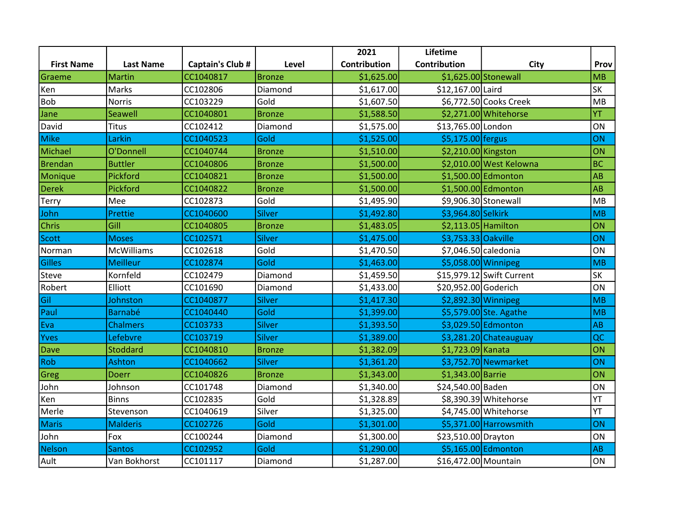|                   |                   |                         |               | 2021         | Lifetime              |                           |           |
|-------------------|-------------------|-------------------------|---------------|--------------|-----------------------|---------------------------|-----------|
| <b>First Name</b> | <b>Last Name</b>  | <b>Captain's Club #</b> | Level         | Contribution | Contribution          | City                      | Prov      |
| Graeme            | <b>Martin</b>     | CC1040817               | <b>Bronze</b> | \$1,625.00   |                       | \$1,625.00 Stonewall      | MB        |
| Ken               | Marks             | CC102806                | Diamond       | \$1,617.00   | \$12,167.00 Laird     |                           | SK        |
| <b>Bob</b>        | <b>Norris</b>     | CC103229                | Gold          | \$1,607.50   |                       | \$6,772.50 Cooks Creek    | MB        |
| Jane              | Seawell           | CC1040801               | <b>Bronze</b> | \$1,588.50   |                       | \$2,271.00 Whitehorse     | YT        |
| David             | <b>Titus</b>      | CC102412                | Diamond       | \$1,575.00   | \$13,765.00 London    |                           | ON        |
| Mike              | Larkin            | CC1040523               | Gold          | \$1,525.00   | \$5,175.00 fergus     |                           | ON        |
| Michael           | O'Donnell         | CC1040744               | <b>Bronze</b> | \$1,510.00   | \$2,210.00 Kingston   |                           | ON        |
| Brendan           | <b>Buttler</b>    | CC1040806               | <b>Bronze</b> | \$1,500.00   |                       | \$2,010.00 West Kelowna   | <b>BC</b> |
| Monique           | Pickford          | CC1040821               | <b>Bronze</b> | \$1,500.00   |                       | \$1,500.00 Edmonton       | AB        |
| <b>Derek</b>      | Pickford          | CC1040822               | <b>Bronze</b> | \$1,500.00   |                       | \$1,500.00 Edmonton       | AB        |
| Terry             | Mee               | CC102873                | Gold          | \$1,495.90   |                       | \$9,906.30 Stonewall      | MB        |
| John              | Prettie           | CC1040600               | Silver        | \$1,492.80   | \$3,964.80 Selkirk    |                           | MB        |
| <b>Chris</b>      | Gill              | CC1040805               | <b>Bronze</b> | \$1,483.05   | \$2,113.05 Hamilton   |                           | ON        |
| Scott             | <b>Moses</b>      | CC102571                | Silver        | \$1,475.00   | \$3,753.33 Oakville   |                           | ON        |
| Norman            | <b>McWilliams</b> | CC102618                | Gold          | \$1,470.50   | $$7,046.50$ caledonia |                           | ON        |
| Gilles            | <b>Meilleur</b>   | CC102874                | Gold          | \$1,463.00   | \$5,058.00 Winnipeg   |                           | MB        |
| Steve             | Kornfeld          | CC102479                | Diamond       | \$1,459.50   |                       | \$15,979.12 Swift Current | SK        |
| Robert            | Elliott           | CC101690                | Diamond       | \$1,433.00   | \$20,952.00 Goderich  |                           | ON        |
| Gil               | Johnston          | CC1040877               | Silver        | \$1,417.30   | $$2,892.30$ Winnipeg  |                           | MB        |
| Paul              | <b>Barnabé</b>    | CC1040440               | Gold          | \$1,399.00   |                       | \$5,579.00 Ste. Agathe    | MB        |
| Eva               | <b>Chalmers</b>   | CC103733                | <b>Silver</b> | \$1,393.50   |                       | \$3,029.50 Edmonton       | AB        |
| <b>Yves</b>       | Lefebvre          | CC103719                | <b>Silver</b> | \$1,389.00   |                       | \$3,281.20 Chateauguay    | QC        |
| Dave              | <b>Stoddard</b>   | CC1040810               | <b>Bronze</b> | \$1,382.09   | \$1,723.09 Kanata     |                           | ON        |
| Rob               | <b>Ashton</b>     | CC1040662               | Silver        | \$1,361.20   |                       | \$3,752.70 Newmarket      | ON        |
| Greg              | <b>Doerr</b>      | CC1040826               | <b>Bronze</b> | \$1,343.00   | \$1,343.00 Barrie     |                           | ON        |
| John              | Johnson           | CC101748                | Diamond       | \$1,340.00   | \$24,540.00 Baden     |                           | ON        |
| Ken               | Binns             | CC102835                | Gold          | \$1,328.89   |                       | \$8,390.39 Whitehorse     | YT        |
| Merle             | Stevenson         | CC1040619               | Silver        | \$1,325.00   |                       | \$4,745.00 Whitehorse     | YT        |
| <b>Maris</b>      | <b>Malderis</b>   | CC102726                | Gold          | \$1,301.00   |                       | \$5,371.00 Harrowsmith    | ON        |
| John              | Fox               | CC100244                | Diamond       | \$1,300.00   | \$23,510.00 Drayton   |                           | ON        |
| Nelson            | <b>Santos</b>     | CC102952                | Gold          | \$1,290.00   |                       | \$5,165.00 Edmonton       | AB        |
| Ault              | Van Bokhorst      | CC101117                | Diamond       | \$1,287.00   | \$16,472.00 Mountain  |                           | ON        |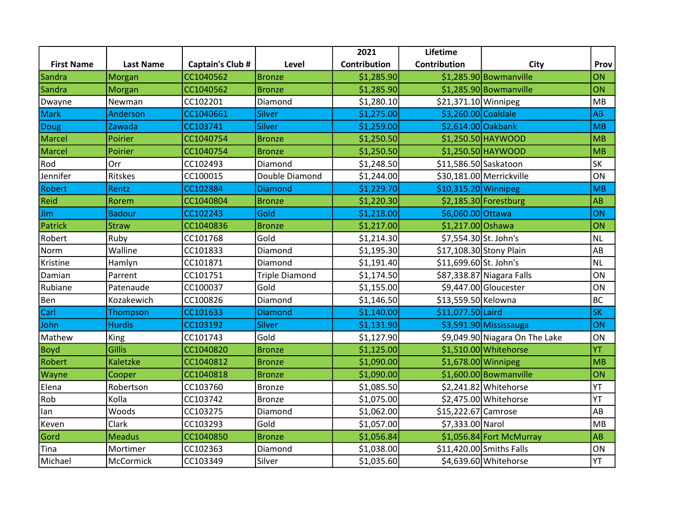|                   |                  |                  |                       | 2021         | Lifetime               |                                |           |
|-------------------|------------------|------------------|-----------------------|--------------|------------------------|--------------------------------|-----------|
| <b>First Name</b> | <b>Last Name</b> | Captain's Club # | Level                 | Contribution | Contribution           | <b>City</b>                    | Prov      |
| Sandra            | Morgan           | CC1040562        | <b>Bronze</b>         | \$1,285.90   |                        | \$1,285.90 Bowmanville         | ON        |
| Sandra            | Morgan           | CC1040562        | <b>Bronze</b>         | \$1,285.90   |                        | $$1,285.90$ Bowmanville        | ON        |
| Dwayne            | Newman           | CC102201         | Diamond               | \$1,280.10   | \$21,371.10 Winnipeg   |                                | MB        |
| <b>Mark</b>       | Anderson         | CC1040661        | <b>Silver</b>         | \$1,275.00   | \$3,260.00 Coaldale    |                                | AB        |
| Doug              | Zawada           | CC103741         | Silver                | \$1,259.00   | \$2,614.00 Oakbank     |                                | MB        |
| Marcel            | Poirier          | CC1040754        | <b>Bronze</b>         | \$1,250.50   |                        | \$1,250.50 HAYWOOD             | MB        |
| <b>Marcel</b>     | Poirier          | CC1040754        | <b>Bronze</b>         | \$1,250.50   |                        | $$1,250.50$ HAYWOOD            | MB        |
| Rod               | Orr              | CC102493         | Diamond               | \$1,248.50   | \$11,586.50 Saskatoon  |                                | <b>SK</b> |
| Jennifer          | Ritskes          | CC100015         | Double Diamond        | \$1,244.00   |                        | \$30,181.00 Merrickville       | ON        |
| Robert            | Rentz            | CC102884         | <b>Diamond</b>        | \$1,229.70   | $$10,315.20$ Winnipeg  |                                | MB        |
| Reid              | Rorem            | CC1040804        | <b>Bronze</b>         | \$1,220.30   |                        | $$2,185.30$ Forestburg         | AB        |
| Jim               | <b>Badour</b>    | CC102243         | Gold                  | \$1,218.00   | \$6,060.00 Ottawa      |                                | ON        |
| Patrick           | <b>Straw</b>     | CC1040836        | <b>Bronze</b>         | \$1,217.00   | \$1,217.00 Oshawa      |                                | ON        |
| Robert            | Ruby             | CC101768         | Gold                  | \$1,214.30   | \$7,554.30 St. John's  |                                | <b>NL</b> |
| Norm              | Walline          | CC101833         | Diamond               | \$1,195.30   |                        | \$17,108.30 Stony Plain        | AB        |
| Kristine          | Hamlyn           | CC101871         | Diamond               | \$1,191.40   | \$11,699.60 St. John's |                                | <b>NL</b> |
| Damian            | Parrent          | CC101751         | <b>Triple Diamond</b> | \$1,174.50   |                        | \$87,338.87 Niagara Falls      | ON        |
| Rubiane           | Patenaude        | CC100037         | Gold                  | \$1,155.00   |                        | \$9,447.00 Gloucester          | ON        |
| Ben               | Kozakewich       | CC100826         | Diamond               | \$1,146.50   | \$13,559.50 Kelowna    |                                | <b>BC</b> |
| Carl              | Thompson         | CC101633         | <b>Diamond</b>        | \$1,140.00   | \$11,077.50 Laird      |                                | <b>SK</b> |
| John              | <b>Hurdis</b>    | CC103192         | Silver                | \$1,131.90   |                        | \$3,591.90 Mississauga         | ON        |
| Mathew            | King             | CC101743         | Gold                  | \$1,127.90   |                        | \$9,049.90 Niagara On The Lake | ON        |
| <b>Boyd</b>       | <b>Gillis</b>    | CC1040820        | <b>Bronze</b>         | \$1,125.00   |                        | \$1,510.00 Whitehorse          | YT        |
| Robert            | <b>Kaletzke</b>  | CC1040812        | <b>Bronze</b>         | \$1,090.00   |                        | $$1,678.00$ Winnipeg           | MB        |
| Wayne             | Cooper           | CC1040818        | <b>Bronze</b>         | \$1,090.00   |                        | $$1,600.00$ Bowmanville        | ON        |
| Elena             | Robertson        | CC103760         | Bronze                | \$1,085.50   |                        | \$2,241.82 Whitehorse          | YT        |
| Rob               | Kolla            | CC103742         | Bronze                | \$1,075.00   |                        | \$2,475.00 Whitehorse          | YT        |
| lan               | Woods            | CC103275         | Diamond               | \$1,062.00   | \$15,222.67 Camrose    |                                | AB        |
| Keven             | Clark            | CC103293         | Gold                  | \$1,057.00   | \$7,333.00 Narol       |                                | MB        |
| Gord              | <b>Meadus</b>    | CC1040850        | <b>Bronze</b>         | \$1,056.84   |                        | $$1,056.84$ Fort McMurray      | AB        |
| Tina              | Mortimer         | CC102363         | Diamond               | \$1,038.00   |                        | \$11,420.00 Smiths Falls       | ON        |
| Michael           | McCormick        | CC103349         | Silver                | \$1,035.60   |                        | \$4,639.60 Whitehorse          | YT        |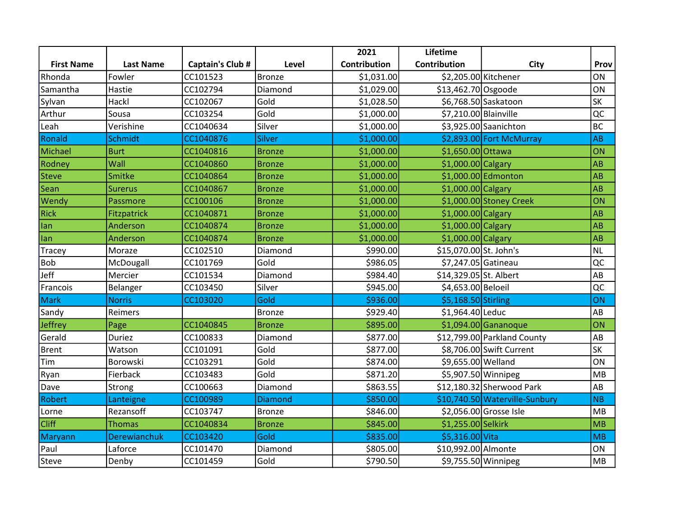|                   |                  |                  |                | 2021         | Lifetime               |                                |           |
|-------------------|------------------|------------------|----------------|--------------|------------------------|--------------------------------|-----------|
| <b>First Name</b> | <b>Last Name</b> | Captain's Club # | Level          | Contribution | Contribution           | <b>City</b>                    | Prov      |
| Rhonda            | Fowler           | CC101523         | Bronze         | \$1,031.00   |                        | \$2,205.00 Kitchener           | <b>ON</b> |
| Samantha          | Hastie           | CC102794         | Diamond        | \$1,029.00   | $$13,462.70$ Osgoode   |                                | ON        |
| Sylvan            | Hackl            | CC102067         | Gold           | \$1,028.50   |                        | \$6,768.50 Saskatoon           | <b>SK</b> |
| Arthur            | Sousa            | CC103254         | Gold           | \$1,000.00]  | \$7,210.00 Blainville  |                                | QC        |
| Leah              | Verishine        | CC1040634        | Silver         | \$1,000.00]  |                        | \$3,925.00 Saanichton          | <b>BC</b> |
| Ronald            | Schmidt          | CC1040876        | Silver         | \$1,000.00   |                        | \$2,893.00 Fort McMurray       | AB        |
| Michael           | <b>Burt</b>      | CC1040816        | <b>Bronze</b>  | \$1,000.00]  | \$1,650.00 Ottawa      |                                | ON        |
| Rodney            | Wall             | CC1040860        | <b>Bronze</b>  | \$1,000.00]  | $$1,000.00 $ Calgary   |                                | AB        |
| <b>Steve</b>      | Smitke           | CC1040864        | <b>Bronze</b>  | \$1,000.00]  |                        | $$1,000.00$ Edmonton           | AB        |
| Sean              | <b>Surerus</b>   | CC1040867        | <b>Bronze</b>  | \$1,000.00   | $$1,000.00 $ Calgary   |                                | <b>AB</b> |
| Wendy             | Passmore         | CC100106         | <b>Bronze</b>  | \$1,000.00   |                        | \$1,000.00 Stoney Creek        | ON        |
| <b>Rick</b>       | Fitzpatrick      | CC1040871        | <b>Bronze</b>  | \$1,000.00   | \$1,000.00 Calgary     |                                | AB        |
| lan               | Anderson         | CC1040874        | <b>Bronze</b>  | \$1,000.00   | $$1,000.00$ Calgary    |                                | <b>AB</b> |
| lan               | Anderson         | CC1040874        | <b>Bronze</b>  | \$1,000.00]  | \$1,000.00 Calgary     |                                | AB        |
| Tracey            | Moraze           | CC102510         | Diamond        | \$990.00     | \$15,070.00 St. John's |                                | <b>NL</b> |
| <b>Bob</b>        | McDougall        | CC101769         | Gold           | \$986.05     | \$7,247.05 Gatineau    |                                | QC        |
| Jeff              | Mercier          | CC101534         | Diamond        | \$984.40     | \$14,329.05 St. Albert |                                | AB        |
| Francois          | Belanger         | CC103450         | Silver         | \$945.00     | \$4,653.00 Beloeil     |                                | QC        |
| <b>Mark</b>       | <b>Norris</b>    | CC103020         | Gold           | \$936.00     | \$5,168.50 Stirling    |                                | ON        |
| Sandy             | Reimers          |                  | Bronze         | \$929.40     | \$1,964.40 Leduc       |                                | AB        |
| Jeffrey           | Page             | CC1040845        | <b>Bronze</b>  | \$895.00     |                        | $$1,094.00$ Gananoque          | ON        |
| Gerald            | <b>Duriez</b>    | CC100833         | Diamond        | \$877.00     |                        | \$12,799.00 Parkland County    | AB        |
| <b>Brent</b>      | Watson           | CC101091         | Gold           | \$877.00     |                        | \$8,706.00 Swift Current       | <b>SK</b> |
| Tim               | Borowski         | CC103291         | Gold           | \$874.00     | \$9,655.00 Welland     |                                | ON        |
| Ryan              | Fierback         | CC103483         | Gold           | \$871.20     |                        | \$5,907.50 Winnipeg            | MB        |
| Dave              | Strong           | CC100663         | Diamond        | \$863.55     |                        | $$12,180.32$ Sherwood Park     | AB        |
| Robert            | Lanteigne        | CC100989         | <b>Diamond</b> | \$850.00     |                        | \$10,740.50 Waterville-Sunbury | NB        |
| Lorne             | Rezansoff        | CC103747         | <b>Bronze</b>  | \$846.00     |                        | \$2,056.00 Grosse Isle         | MB        |
| <b>Cliff</b>      | <b>Thomas</b>    | CC1040834        | <b>Bronze</b>  | \$845.00     | \$1,255.00 Selkirk     |                                | MB        |
| Maryann           | Derewianchuk     | CC103420         | Gold           | \$835.00     | \$5,316.00 Vita        |                                | MB        |
| Paul              | Laforce          | CC101470         | Diamond        | \$805.00     | \$10,992.00 Almonte    |                                | ON        |
| Steve             | Denby            | CC101459         | Gold           | \$790.50     |                        | \$9,755.50 Winnipeg            | MB        |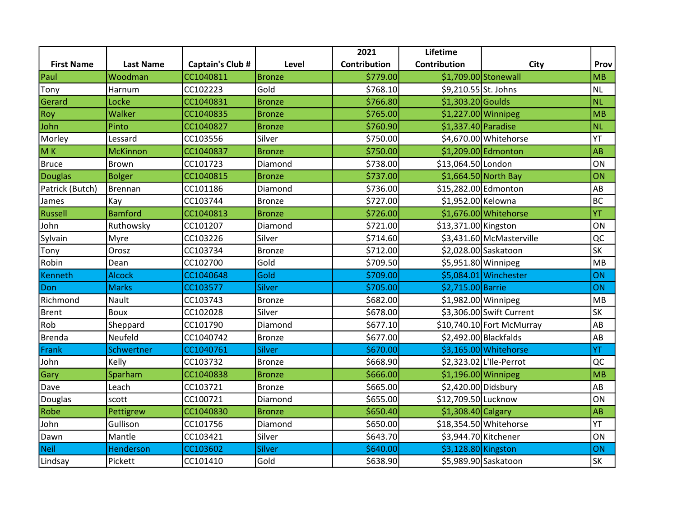|                   |                  |                         |               | 2021         | Lifetime             |                           |           |
|-------------------|------------------|-------------------------|---------------|--------------|----------------------|---------------------------|-----------|
| <b>First Name</b> | <b>Last Name</b> | <b>Captain's Club #</b> | Level         | Contribution | Contribution         | <b>City</b>               | Prov      |
| Paul              | Woodman          | CC1040811               | <b>Bronze</b> | \$779.00     |                      | \$1,709.00 Stonewall      | MB        |
| Tony              | Harnum           | CC102223                | Gold          | \$768.10     | \$9,210.55 St. Johns |                           | <b>NL</b> |
| Gerard            | Locke            | CC1040831               | <b>Bronze</b> | \$766.80     | $$1,303.20$ Goulds   |                           | <b>NL</b> |
| Roy               | Walker           | CC1040835               | <b>Bronze</b> | \$765.00     |                      | $$1,227.00$ Winnipeg      | MB        |
| John              | Pinto            | CC1040827               | <b>Bronze</b> | \$760.90     | \$1,337.40 Paradise  |                           | <b>NL</b> |
| Morley            | Lessard          | CC103556                | Silver        | \$750.00     |                      | \$4,670.00 Whitehorse     | YT        |
| M <sub>K</sub>    | <b>McKinnon</b>  | CC1040837               | <b>Bronze</b> | \$750.00     |                      | \$1,209.00 Edmonton       | AB        |
| <b>Bruce</b>      | Brown            | CC101723                | Diamond       | \$738.00     | \$13,064.50 London   |                           | ON        |
| <b>Douglas</b>    | <b>Bolger</b>    | CC1040815               | <b>Bronze</b> | \$737.00     |                      | $$1,664.50$ North Bay     | ON        |
| Patrick (Butch)   | Brennan          | CC101186                | Diamond       | \$736.00     | \$15,282.00 Edmonton |                           | AB        |
| James             | Kay              | CC103744                | <b>Bronze</b> | \$727.00     | \$1,952.00 Kelowna   |                           | <b>BC</b> |
| <b>Russell</b>    | <b>Bamford</b>   | CC1040813               | <b>Bronze</b> | \$726.00     |                      | \$1,676.00 Whitehorse     | YT        |
| John              | Ruthowsky        | CC101207                | Diamond       | \$721.00     | \$13,371.00 Kingston |                           | ON        |
| Sylvain           | Myre             | CC103226                | Silver        | \$714.60     |                      | \$3,431.60 McMasterville  | QC        |
| Tony              | Orosz            | CC103734                | <b>Bronze</b> | \$712.00     |                      | \$2,028.00 Saskatoon      | <b>SK</b> |
| Robin             | Dean             | CC102700                | Gold          | \$709.50     |                      | \$5,951.80 Winnipeg       | MB        |
| Kenneth           | <b>Alcock</b>    | CC1040648               | Gold          | \$709.00     |                      | $$5,084.01$ Winchester    | ON        |
| Don               | <b>Marks</b>     | CC103577                | Silver        | \$705.00     | \$2,715.00 Barrie    |                           | ON        |
| Richmond          | Nault            | CC103743                | <b>Bronze</b> | \$682.00     |                      | \$1,982.00 Winnipeg       | MB        |
| <b>Brent</b>      | Boux             | CC102028                | Silver        | \$678.00     |                      | \$3,306.00 Swift Current  | <b>SK</b> |
| Rob               | Sheppard         | CC101790                | Diamond       | \$677.10     |                      | \$10,740.10 Fort McMurray | AB        |
| <b>Brenda</b>     | Neufeld          | CC1040742               | Bronze        | \$677.00     |                      | \$2,492.00 Blackfalds     | AB        |
| Frank             | Schwertner       | CC1040761               | <b>Silver</b> | \$670.00     |                      | \$3,165.00 Whitehorse     | YT        |
| John              | Kelly            | CC103732                | Bronze        | \$668.90     |                      | \$2,323.02 L'Ile-Perrot   | QC        |
| Gary              | Sparham          | CC1040838               | <b>Bronze</b> | \$666.00     | $$1,196.00$ Winnipeg |                           | MB        |
| Dave              | Leach            | CC103721                | <b>Bronze</b> | \$665.00     | \$2,420.00 Didsbury  |                           | AB        |
| Douglas           | scott            | CC100721                | Diamond       | \$655.00     | \$12,709.50 Lucknow  |                           | ON        |
| Robe              | Pettigrew        | CC1040830               | <b>Bronze</b> | \$650.40]    | $$1,308.40$ Calgary  |                           | AB        |
| John              | Gullison         | CC101756                | Diamond       | \$650.00     |                      | \$18,354.50 Whitehorse    | YT        |
| Dawn              | Mantle           | CC103421                | Silver        | \$643.70     | \$3,944.70 Kitchener |                           | ON        |
| Neil              | Henderson        | CC103602                | Silver        | \$640.00     | \$3,128.80 Kingston  |                           | ON        |
| Lindsay           | Pickett          | CC101410                | Gold          | \$638.90     |                      | \$5,989.90 Saskatoon      | SK        |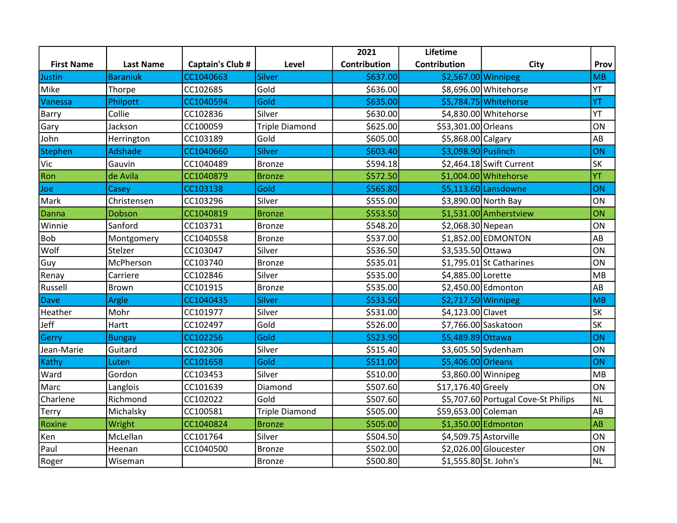|                   |                  |                  |                       | 2021         | Lifetime              |                                     |           |
|-------------------|------------------|------------------|-----------------------|--------------|-----------------------|-------------------------------------|-----------|
| <b>First Name</b> | <b>Last Name</b> | Captain's Club # | Level                 | Contribution | Contribution          | <b>City</b>                         | Prov      |
| Justin            | <b>Baraniuk</b>  | CC1040663        | Silver                | \$637.00     |                       | \$2,567.00 Winnipeg                 | <b>MB</b> |
| Mike              | Thorpe           | CC102685         | Gold                  | \$636.00     |                       | \$8,696.00 Whitehorse               | YT        |
| Vanessa           | Philpott         | CC1040594        | Gold                  | \$635.00     |                       | \$5,784.75 Whitehorse               | YT        |
| Barry             | Collie           | CC102836         | Silver                | \$630.00     |                       | \$4,830.00 Whitehorse               | YT        |
| Gary              | Jackson          | CC100059         | <b>Triple Diamond</b> | \$625.00     | \$53,301.00 Orleans   |                                     | ON        |
| John              | Herrington       | CC103189         | Gold                  | \$605.00     | \$5,868.00 Calgary    |                                     | AB        |
| <b>Stephen</b>    | Adshade          | CC1040660        | Silver                | \$603.40     | \$3,098.90 Puslinch   |                                     | ON        |
| Vic               | Gauvin           | CC1040489        | Bronze                | \$594.18     |                       | $$2,464.18$ Swift Current           | <b>SK</b> |
| Ron               | de Avila         | CC1040879        | <b>Bronze</b>         | \$572.50     |                       | \$1,004.00 Whitehorse               | YT        |
| Joe               | Casey            | CC103138         | Gold                  | \$565.80     |                       | $$5,113.60$ Lansdowne               | <b>ON</b> |
| Mark              | Christensen      | CC103296         | Silver                | \$555.00     |                       | \$3,890.00 North Bay                | ON        |
| Danna             | Dobson           | CC1040819        | <b>Bronze</b>         | \$553.50     |                       | \$1,531.00 Amherstview              | ON        |
| Winnie            | Sanford          | CC103731         | <b>Bronze</b>         | \$548.20     | \$2,068.30 Nepean     |                                     | ON        |
| Bob               | Montgomery       | CC1040558        | <b>Bronze</b>         | \$537.00     |                       | \$1,852.00 EDMONTON                 | AB        |
| Wolf              | Stelzer          | CC103047         | Silver                | \$536.50     | \$3,535.50 Ottawa     |                                     | ON        |
| Guy               | McPherson        | CC103740         | <b>Bronze</b>         | \$535.01     |                       | $$1,795.01$ St Catharines           | ON        |
| Renay             | Carriere         | CC102846         | Silver                | \$535.00     | \$4,885.00 Lorette    |                                     | MB        |
| Russell           | Brown            | CC101915         | <b>Bronze</b>         | \$535.00     |                       | \$2,450.00 Edmonton                 | AB        |
| <b>Dave</b>       | Argle            | CC1040435        | <b>Silver</b>         | \$533.50     |                       | $$2,717.50$ Winnipeg                | MB        |
| Heather           | Mohr             | CC101977         | Silver                | \$531.00     | \$4,123.00 Clavet     |                                     | SK        |
| Jeff              | Hartt            | CC102497         | Gold                  | \$526.00     |                       | \$7,766.00 Saskatoon                | <b>SK</b> |
| Gerry             | <b>Bungay</b>    | CC102256         | Gold                  | \$523.90     | \$5,489.89 Ottawa     |                                     | ON        |
| Jean-Marie        | Guitard          | CC102306         | Silver                | \$515.40     |                       | \$3,605.50 Sydenham                 | ON        |
| Kathy             | Luten            | CC101658         | Gold                  | \$511.00     | \$5,406.00 Orleans    |                                     | ON        |
| Ward              | Gordon           | CC103453         | Silver                | \$510.00     |                       | \$3,860.00 Winnipeg                 | MB        |
| Marc              | Langlois         | CC101639         | Diamond               | \$507.60     | \$17,176.40 Greely    |                                     | ON        |
| Charlene          | Richmond         | CC102022         | Gold                  | \$507.60     |                       | \$5,707.60 Portugal Cove-St Philips | <b>NL</b> |
| <b>Terry</b>      | Michalsky        | CC100581         | <b>Triple Diamond</b> | \$505.00     | \$59,653.00 Coleman   |                                     | AB        |
| Roxine            | Wright           | CC1040824        | <b>Bronze</b>         | \$505.00     |                       | \$1,350.00 Edmonton                 | AB        |
| Ken               | McLellan         | CC101764         | Silver                | \$504.50     | \$4,509.75 Astorville |                                     | ON        |
| Paul              | Heenan           | CC1040500        | <b>Bronze</b>         | \$502.00     |                       | \$2,026.00 Gloucester               | ON        |
| Roger             | Wiseman          |                  | <b>Bronze</b>         | \$500.80     | \$1,555.80 St. John's |                                     | <b>NL</b> |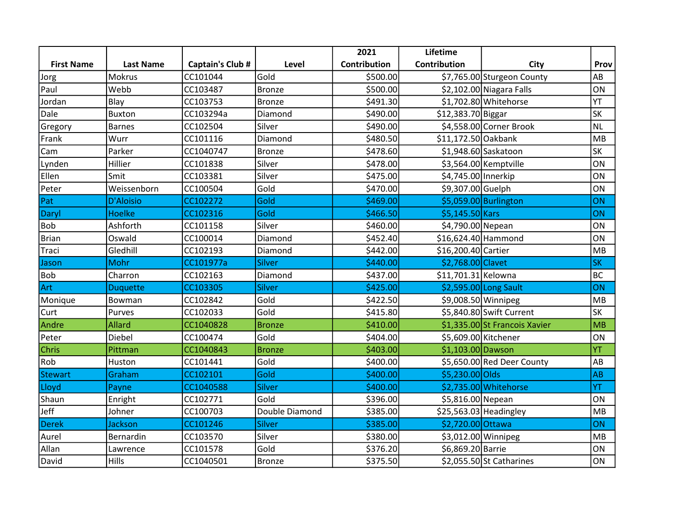|                   |                  |                  |                | 2021         | Lifetime            |                               |           |
|-------------------|------------------|------------------|----------------|--------------|---------------------|-------------------------------|-----------|
| <b>First Name</b> | <b>Last Name</b> | Captain's Club # | Level          | Contribution | Contribution        | City                          | Prov      |
| Jorg              | <b>Mokrus</b>    | CC101044         | Gold           | \$500.00     |                     | \$7,765.00 Sturgeon County    | AB        |
| Paul              | Webb             | CC103487         | Bronze         | \$500.00     |                     | \$2,102.00 Niagara Falls      | ON        |
| Jordan            | Blay             | CC103753         | Bronze         | \$491.30     |                     | \$1,702.80 Whitehorse         | YT        |
| Dale              | <b>Buxton</b>    | CC103294a        | Diamond        | \$490.00     | \$12,383.70 Biggar  |                               | <b>SK</b> |
| Gregory           | <b>Barnes</b>    | CC102504         | Silver         | \$490.00     |                     | \$4,558.00 Corner Brook       | <b>NL</b> |
| Frank             | Wurr             | CC101116         | Diamond        | \$480.50     | \$11,172.50 Oakbank |                               | MB        |
| Cam               | Parker           | CC1040747        | <b>Bronze</b>  | \$478.60     |                     | $$1,948.60$ Saskatoon         | SK        |
| Lynden            | Hillier          | CC101838         | Silver         | \$478.00     |                     | \$3,564.00 Kemptville         | ON        |
| Ellen             | Smit             | CC103381         | Silver         | \$475.00     | \$4,745.00 Innerkip |                               | ON        |
| Peter             | Weissenborn      | CC100504         | Gold           | \$470.00     | \$9,307.00 Guelph   |                               | ON        |
| Pat               | <b>D'Aloisio</b> | CC102272         | Gold           | \$469.00     |                     | $$5,059.00$ Burlington        | ON        |
| Daryl             | <b>Hoelke</b>    | CC102316         | Gold           | \$466.50     | \$5,145.50 Kars     |                               | ON        |
| <b>Bob</b>        | Ashforth         | CC101158         | Silver         | \$460.00     | \$4,790.00 Nepean   |                               | ON        |
| <b>Brian</b>      | Oswald           | CC100014         | Diamond        | \$452.40     | \$16,624.40 Hammond |                               | ON        |
| Traci             | Gledhill         | CC102193         | Diamond        | \$442.00     | \$16,200.40 Cartier |                               | MB        |
| Jason             | Mohr             | CC101977a        | Silver         | \$440.00     | \$2,768.00 Clavet   |                               | <b>SK</b> |
| <b>Bob</b>        | Charron          | CC102163         | Diamond        | \$437.00     | \$11,701.31 Kelowna |                               | <b>BC</b> |
| Art               | <b>Duquette</b>  | CC103305         | Silver         | \$425.00     |                     | $$2,595.00$ Long Sault        | ON        |
| Monique           | Bowman           | CC102842         | Gold           | \$422.50     |                     | \$9,008.50 Winnipeg           | MB        |
| Curt              | Purves           | CC102033         | Gold           | \$415.80     |                     | \$5,840.80 Swift Current      | <b>SK</b> |
| Andre             | Allard           | CC1040828        | <b>Bronze</b>  | \$410.00     |                     | \$1,335.00 St Francois Xavier | MB        |
| Peter             | Diebel           | CC100474         | Gold           | \$404.00     |                     | \$5,609.00 Kitchener          | ON        |
| Chris             | Pittman          | CC1040843        | <b>Bronze</b>  | \$403.00     | \$1,103.00 Dawson   |                               | YT        |
| Rob               | Huston           | CC101441         | Gold           | \$400.00     |                     | \$5,650.00 Red Deer County    | AB        |
| <b>Stewart</b>    | Graham           | CC102101         | Gold           | \$400.00     | \$5,230.00 Olds     |                               | AB        |
| Lloyd             | Payne            | CC1040588        | Silver         | \$400.00     |                     | \$2,735.00 Whitehorse         | YT        |
| Shaun             | Enright          | CC102771         | Gold           | \$396.00     | \$5,816.00 Nepean   |                               | ON        |
| Jeff              | Johner           | CC100703         | Double Diamond | \$385.00     |                     | \$25,563.03 Headingley        | MB        |
| <b>Derek</b>      | Jackson          | CC101246         | Silver         | \$385.00     | \$2,720.00 Ottawa   |                               | ON        |
| Aurel             | Bernardin        | CC103570         | Silver         | \$380.00     |                     | \$3,012.00 Winnipeg           | <b>MB</b> |
| Allan             | Lawrence         | CC101578         | Gold           | \$376.20     | \$6,869.20 Barrie   |                               | ON        |
| David             | Hills            | CC1040501        | <b>Bronze</b>  | \$375.50     |                     | $$2,055.50$ St Catharines     | ON        |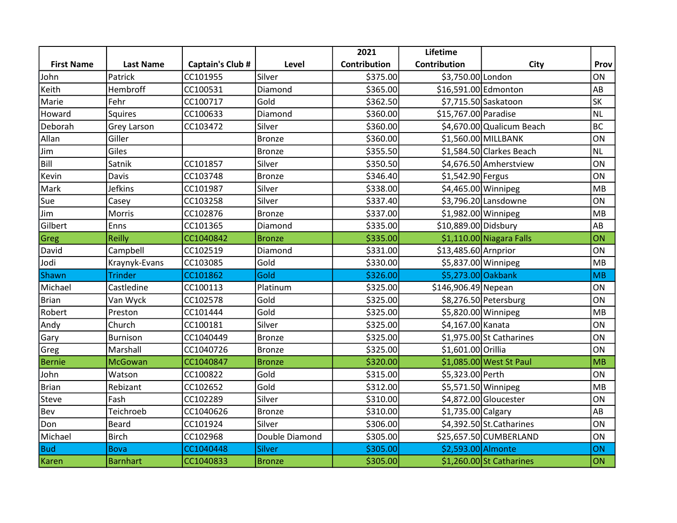|                   |                    |                  |                | 2021                | Lifetime             |                            |           |
|-------------------|--------------------|------------------|----------------|---------------------|----------------------|----------------------------|-----------|
| <b>First Name</b> | <b>Last Name</b>   | Captain's Club # | Level          | <b>Contribution</b> | Contribution         | <b>City</b>                | Prov      |
| John              | Patrick            | CC101955         | Silver         | \$375.00            | \$3,750.00 London    |                            | <b>ON</b> |
| Keith             | Hembroff           | CC100531         | Diamond        | \$365.00            | \$16,591.00 Edmonton |                            | AB        |
| Marie             | Fehr               | CC100717         | Gold           | \$362.50            |                      | \$7,715.50 Saskatoon       | <b>SK</b> |
| Howard            | Squires            | CC100633         | Diamond        | \$360.00            | \$15,767.00 Paradise |                            | <b>NL</b> |
| Deborah           | <b>Grey Larson</b> | CC103472         | Silver         | \$360.00            |                      | \$4,670.00 Qualicum Beach  | <b>BC</b> |
| Allan             | Giller             |                  | Bronze         | \$360.00            |                      | \$1,560.00 MILLBANK        | ON        |
| Jim               | Giles              |                  | <b>Bronze</b>  | \$355.50            |                      | \$1,584.50 Clarkes Beach   | <b>NL</b> |
| Bill              | Satnik             | CC101857         | Silver         | \$350.50            |                      | \$4,676.50 Amherstview     | ON        |
| Kevin             | <b>Davis</b>       | CC103748         | <b>Bronze</b>  | \$346.40            | \$1,542.90 Fergus    |                            | ON        |
| Mark              | <b>Jefkins</b>     | CC101987         | Silver         | \$338.00            |                      | $$4,465.00$ Winnipeg       | MB        |
| Sue               | Casey              | CC103258         | Silver         | \$337.40            |                      | \$3,796.20 Lansdowne       | ON        |
| Jim               | Morris             | CC102876         | <b>Bronze</b>  | \$337.00            | \$1,982.00 Winnipeg  |                            | MB        |
| Gilbert           | Enns               | CC101365         | Diamond        | \$335.00            | \$10,889.00 Didsbury |                            | AB        |
| Greg              | <b>Reilly</b>      | CC1040842        | <b>Bronze</b>  | \$335.00            |                      | \$1,110.00 Niagara Falls   | ON        |
| David             | Campbell           | CC102519         | Diamond        | \$331.00            | \$13,485.60 Arnprior |                            | ON        |
| Jodi              | Kraynyk-Evans      | CC103085         | Gold           | \$330.00            |                      | \$5,837.00 Winnipeg        | MB        |
| Shawn             | <b>Trinder</b>     | CC101862         | Gold           | \$326.00            | \$5,273.00 Oakbank   |                            | MB        |
| Michael           | Castledine         | CC100113         | Platinum       | \$325.00            | \$146,906.49 Nepean  |                            | ON        |
| <b>Brian</b>      | Van Wyck           | CC102578         | Gold           | \$325.00            |                      | \$8,276.50 Petersburg      | ON        |
| Robert            | Preston            | CC101444         | Gold           | \$325.00            |                      | \$5,820.00 Winnipeg        | MB        |
| Andy              | Church             | CC100181         | Silver         | \$325.00            | \$4,167.00 Kanata    |                            | ON        |
| Gary              | <b>Burnison</b>    | CC1040449        | <b>Bronze</b>  | \$325.00            |                      | $$1,975.00$ St Catharines  | ON        |
| Greg              | Marshall           | CC1040726        | <b>Bronze</b>  | \$325.00            | \$1,601.00 Orillia   |                            | ON        |
| <b>Bernie</b>     | <b>McGowan</b>     | CC1040847        | <b>Bronze</b>  | \$320.00            |                      | \$1,085.00 West St Paul    | MB        |
| John              | Watson             | CC100822         | Gold           | \$315.00            | \$5,323.00 Perth     |                            | ON        |
| <b>Brian</b>      | Rebizant           | CC102652         | Gold           | \$312.00            |                      | $$5,571.50$ Winnipeg       | MB        |
| Steve             | Fash               | CC102289         | Silver         | \$310.00            |                      | \$4,872.00 Gloucester      | ON        |
| Bev               | Teichroeb          | CC1040626        | <b>Bronze</b>  | \$310.00            | \$1,735.00 Calgary   |                            | AB        |
| Don               | <b>Beard</b>       | CC101924         | Silver         | \$306.00            |                      | $$4,392.50$ St. Catharines | ON        |
| Michael           | <b>Birch</b>       | CC102968         | Double Diamond | \$305.00            |                      | \$25,657.50 CUMBERLAND     | ON        |
| Bud               | <b>Bova</b>        | CC1040448        | Silver         | \$305.00            | \$2,593.00 Almonte   |                            | ON        |
| Karen             | <b>Barnhart</b>    | CC1040833        | <b>Bronze</b>  | \$305.00            |                      | \$1,260.00 St Catharines   | <b>ON</b> |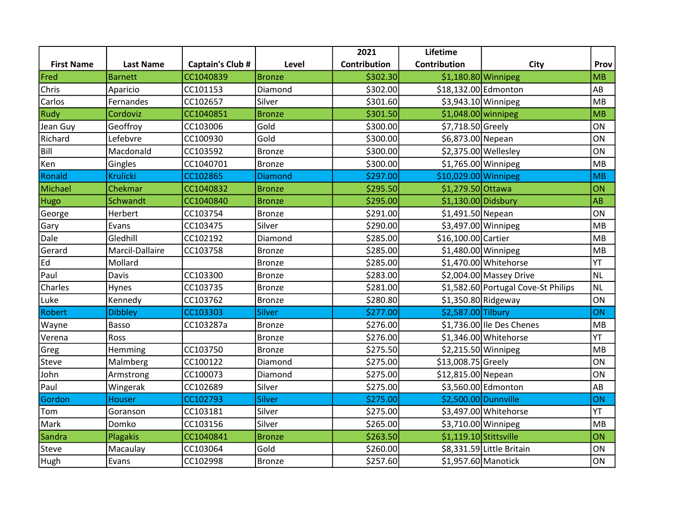|                   |                  |                         |                | 2021         | Lifetime               |                                     |           |
|-------------------|------------------|-------------------------|----------------|--------------|------------------------|-------------------------------------|-----------|
| <b>First Name</b> | <b>Last Name</b> | <b>Captain's Club #</b> | Level          | Contribution | Contribution           | City                                | Prov      |
| Fred              | <b>Barnett</b>   | CC1040839               | <b>Bronze</b>  | \$302.30     | \$1,180.80 Winnipeg    |                                     | MB        |
| Chris             | Aparicio         | CC101153                | Diamond        | \$302.00     | \$18,132.00 Edmonton   |                                     | AB        |
| Carlos            | Fernandes        | CC102657                | Silver         | \$301.60     |                        | \$3,943.10 Winnipeg                 | MB        |
| Rudy              | Cordoviz         | CC1040851               | <b>Bronze</b>  | \$301.50     | $$1,048.00$ winnipeg   |                                     | MB        |
| Jean Guy          | Geoffroy         | CC103006                | Gold           | \$300.00     | \$7,718.50 Greely      |                                     | ON        |
| Richard           | Lefebvre         | CC100930                | Gold           | \$300.00     | \$6,873.00 Nepean      |                                     | ON        |
| Bill              | Macdonald        | CC103592                | Bronze         | \$300.00     |                        | \$2,375.00 Wellesley                | ON        |
| Ken               | Gingles          | CC1040701               | Bronze         | \$300.00     |                        | $$1,765.00$ Winnipeg                | MB        |
| Ronald            | <b>Krulicki</b>  | CC102865                | <b>Diamond</b> | \$297.00     | \$10,029.00 Winnipeg   |                                     | MB        |
| Michael           | Chekmar          | CC1040832               | <b>Bronze</b>  | \$295.50     | \$1,279.50 Ottawa      |                                     | ON        |
| Hugo              | Schwandt         | CC1040840               | <b>Bronze</b>  | \$295.00     | $$1,130.00$ Didsbury   |                                     | AB        |
| George            | Herbert          | CC103754                | <b>Bronze</b>  | \$291.00     | \$1,491.50 Nepean      |                                     | ON        |
| Gary              | Evans            | CC103475                | Silver         | \$290.00     |                        | $$3,497.00$ Winnipeg                | MB        |
| Dale              | Gledhill         | CC102192                | Diamond        | \$285.00     | \$16,100.00 Cartier    |                                     | MB        |
| Gerard            | Marcil-Dallaire  | CC103758                | Bronze         | \$285.00     |                        | \$1,480.00 Winnipeg                 | MB        |
| Ed                | Mollard          |                         | Bronze         | \$285.00     |                        | $$1,470.00$ Whitehorse              | YT        |
| Paul              | Davis            | CC103300                | <b>Bronze</b>  | \$283.00     |                        | \$2,004.00 Massey Drive             | <b>NL</b> |
| Charles           | Hynes            | CC103735                | Bronze         | \$281.00     |                        | \$1,582.60 Portugal Cove-St Philips | <b>NL</b> |
| Luke              | Kennedy          | CC103762                | <b>Bronze</b>  | \$280.80     |                        | $$1,350.80$ Ridgeway                | ON        |
| Robert            | <b>Dibbley</b>   | CC103303                | <b>Silver</b>  | \$277.00     | \$2,587.00 Tilbury     |                                     | ON        |
| Wayne             | Basso            | CC103287a               | <b>Bronze</b>  | \$276.00     |                        | $$1,736.00$ Ile Des Chenes          | MB        |
| Verena            | Ross             |                         | <b>Bronze</b>  | \$276.00     |                        | \$1,346.00 Whitehorse               | YT        |
| Greg              | Hemming          | CC103750                | <b>Bronze</b>  | \$275.50     |                        | \$2,215.50 Winnipeg                 | MB        |
| Steve             | Malmberg         | CC100122                | Diamond        | \$275.00     | \$13,008.75 Greely     |                                     | ON        |
| John              | Armstrong        | CC100073                | Diamond        | \$275.00     | \$12,815.00 Nepean     |                                     | ON        |
| Paul              | Wingerak         | CC102689                | Silver         | \$275.00     |                        | \$3,560.00 Edmonton                 | AB        |
| Gordon            | <b>Houser</b>    | CC102793                | <b>Silver</b>  | \$275.00     | \$2,500.00 Dunnville   |                                     | ON        |
| Tom               | Goranson         | CC103181                | Silver         | \$275.00     |                        | \$3,497.00 Whitehorse               | YT        |
| Mark              | Domko            | CC103156                | Silver         | \$265.00     |                        | \$3,710.00 Winnipeg                 | MB        |
| Sandra            | Plagakis         | CC1040841               | <b>Bronze</b>  | \$263.50     | \$1,119.10 Stittsville |                                     | <b>ON</b> |
| Steve             | Macaulay         | CC103064                | Gold           | \$260.00     |                        | \$8,331.59 Little Britain           | ON        |
| Hugh              | Evans            | CC102998                | <b>Bronze</b>  | \$257.60     | \$1,957.60 Manotick    |                                     | ON        |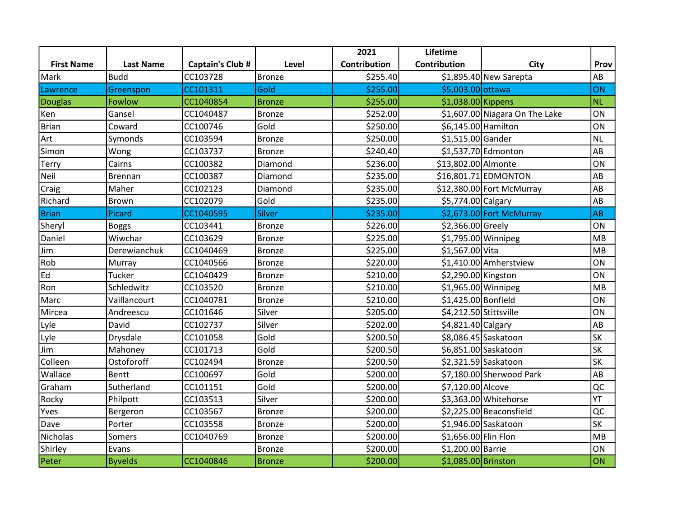|                   |                  |                  |               | 2021         | Lifetime               |                                |           |
|-------------------|------------------|------------------|---------------|--------------|------------------------|--------------------------------|-----------|
| <b>First Name</b> | <b>Last Name</b> | Captain's Club # | Level         | Contribution | Contribution           | <b>City</b>                    | Prov      |
| Mark              | Budd             | CC103728         | <b>Bronze</b> | \$255.40     |                        | $$1,895.40$ New Sarepta        | AB        |
| Lawrence          | Greenspon        | CC101311         | Gold          | \$255.00     | \$5,003.00 ottawa      |                                | ON        |
| <b>Douglas</b>    | Fowlow           | CC1040854        | <b>Bronze</b> | \$255.00     | $$1,038.00$ Kippens    |                                | <b>NL</b> |
| Ken               | Gansel           | CC1040487        | Bronze        | \$252.00     |                        | \$1,607.00 Niagara On The Lake | ON        |
| <b>Brian</b>      | Coward           | CC100746         | Gold          | \$250.00     | \$6,145.00 Hamilton    |                                | ON        |
| Art               | Symonds          | CC103594         | <b>Bronze</b> | \$250.00     | \$1,515.00 Gander      |                                | <b>NL</b> |
| Simon             | Wong             | CC103737         | <b>Bronze</b> | \$240.40     |                        | \$1,537.70 Edmonton            | AB        |
| Terry             | Cairns           | CC100382         | Diamond       | \$236.00     | \$13,802.00 Almonte    |                                | ON        |
| Neil              | <b>Brennan</b>   | CC100387         | Diamond       | \$235.00     |                        | $$16,801.71$ EDMONTON          | AB        |
| Craig             | Maher            | CC102123         | Diamond       | \$235.00     |                        | \$12,380.00 Fort McMurray      | AB        |
| Richard           | Brown            | CC102079         | Gold          | \$235.00     | \$5,774.00 Calgary     |                                | AB        |
| <b>Brian</b>      | Picard           | CC1040595        | <b>Silver</b> | \$235.00     |                        | \$2,673.00 Fort McMurray       | AB        |
| Sheryl            | Boggs            | CC103441         | <b>Bronze</b> | \$226.00     | \$2,366.00 Greely      |                                | ON        |
| Daniel            | Wiwchar          | CC103629         | <b>Bronze</b> | \$225.00     |                        | $$1,795.00$ Winnipeg           | MB        |
| Jim               | Derewianchuk     | CC1040469        | <b>Bronze</b> | \$225.00     | \$1,567.00 Vita        |                                | MB        |
| Rob               | Murray           | CC1040566        | Bronze        | \$220.00     |                        | \$1,410.00 Amherstview         | ON        |
| Ed                | Tucker           | CC1040429        | <b>Bronze</b> | \$210.00     | \$2,290.00 Kingston    |                                | ON        |
| Ron               | Schledwitz       | CC103520         | <b>Bronze</b> | \$210.00     |                        | \$1,965.00 Winnipeg            | MB        |
| Marc              | Vaillancourt     | CC1040781        | <b>Bronze</b> | \$210.00     | \$1,425.00 Bonfield    |                                | ON        |
| Mircea            | Andreescu        | CC101646         | Silver        | \$205.00     | \$4,212.50 Stittsville |                                | ON        |
| Lyle              | David            | CC102737         | Silver        | \$202.00     | \$4,821.40 Calgary     |                                | AB        |
| Lyle              | Drysdale         | CC101058         | Gold          | \$200.50     |                        | \$8,086.45 Saskatoon           | <b>SK</b> |
| Jim               | Mahoney          | CC101713         | Gold          | \$200.50     |                        | \$6,851.00 Saskatoon           | <b>SK</b> |
| Colleen           | Ostoforoff       | CC102494         | <b>Bronze</b> | \$200.50     |                        | \$2,321.59 Saskatoon           | SK        |
| Wallace           | Bentt            | CC100697         | Gold          | \$200.00     |                        | \$7,180.00 Sherwood Park       | AB        |
| Graham            | Sutherland       | CC101151         | Gold          | \$200.00     | \$7,120.00 Alcove      |                                | QC        |
| Rocky             | Philpott         | CC103513         | Silver        | \$200.00     |                        | \$3,363.00 Whitehorse          | YT        |
| Yves              | Bergeron         | CC103567         | <b>Bronze</b> | \$200.00     |                        | \$2,225.00 Beaconsfield        | QC        |
| Dave              | Porter           | CC103558         | <b>Bronze</b> | \$200.00     |                        | $$1,946.00$ Saskatoon          | <b>SK</b> |
| Nicholas          | Somers           | CC1040769        | Bronze        | \$200.00     | \$1,656.00 Flin Flon   |                                | MB        |
| Shirley           | Evans            |                  | <b>Bronze</b> | \$200.00     | \$1,200.00 Barrie      |                                | ON        |
| Peter             | <b>Byvelds</b>   | CC1040846        | <b>Bronze</b> | \$200.00]    | \$1,085.00 Brinston    |                                | ON        |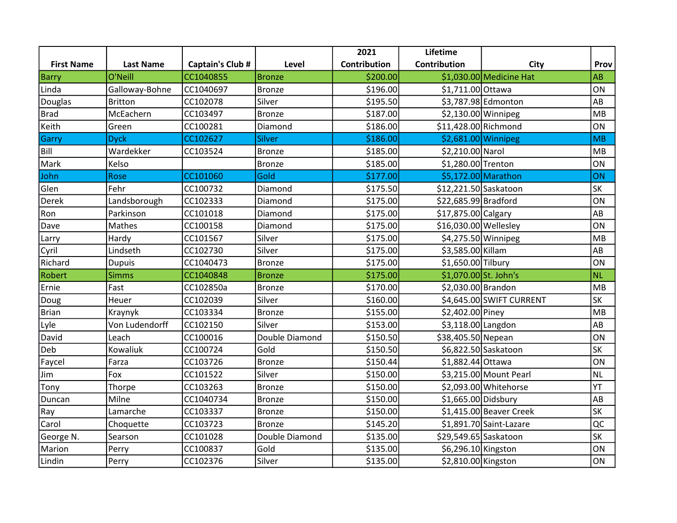|                   |                  |                  |                | 2021         | Lifetime              |                          |           |
|-------------------|------------------|------------------|----------------|--------------|-----------------------|--------------------------|-----------|
| <b>First Name</b> | <b>Last Name</b> | Captain's Club # | Level          | Contribution | Contribution          | <b>City</b>              | Prov      |
| <b>Barry</b>      | O'Neill          | CC1040855        | <b>Bronze</b>  | \$200.00     |                       | \$1,030.00 Medicine Hat  | AB        |
| Linda             | Galloway-Bohne   | CC1040697        | <b>Bronze</b>  | \$196.00     | \$1,711.00 Ottawa     |                          | ON        |
| Douglas           | <b>Britton</b>   | CC102078         | Silver         | \$195.50     |                       | \$3,787.98 Edmonton      | AB        |
| <b>Brad</b>       | McEachern        | CC103497         | <b>Bronze</b>  | \$187.00     |                       | $$2,130.00$ Winnipeg     | MB        |
| Keith             | Green            | CC100281         | Diamond        | \$186.00     | \$11,428.00 Richmond  |                          | ON        |
| Garry             | <b>Dyck</b>      | CC102627         | Silver         | \$186.00     | $$2,681.00$ Winnipeg  |                          | MB        |
| Bill              | Wardekker        | CC103524         | <b>Bronze</b>  | \$185.00     | \$2,210.00 Narol      |                          | MB        |
| Mark              | Kelso            |                  | <b>Bronze</b>  | \$185.00     | \$1,280.00 Trenton    |                          | ON        |
| John              | Rose             | CC101060         | Gold           | \$177.00     |                       | \$5,172.00 Marathon      | ON        |
| Glen              | Fehr             | CC100732         | Diamond        | \$175.50     | \$12,221.50 Saskatoon |                          | <b>SK</b> |
| Derek             | Landsborough     | CC102333         | Diamond        | \$175.00     | \$22,685.99 Bradford  |                          | ON        |
| Ron               | Parkinson        | CC101018         | Diamond        | \$175.00     | \$17,875.00 Calgary   |                          | AB        |
| Dave              | Mathes           | CC100158         | Diamond        | \$175.00     | \$16,030.00 Wellesley |                          | ON        |
| Larry             | Hardy            | CC101567         | Silver         | \$175.00     |                       | $$4,275.50$ Winnipeg     | MB        |
| Cyril             | Lindseth         | CC102730         | Silver         | \$175.00     | \$3,585.00 Killam     |                          | AB        |
| Richard           | <b>Dupuis</b>    | CC1040473        | <b>Bronze</b>  | \$175.00     | \$1,650.00 Tilbury    |                          | ON        |
| Robert            | <b>Simms</b>     | CC1040848        | <b>Bronze</b>  | \$175.00     | \$1,070.00 St. John's |                          | <b>NL</b> |
| Ernie             | Fast             | CC102850a        | Bronze         | \$170.00     | \$2,030.00 Brandon    |                          | MB        |
| Doug              | Heuer            | CC102039         | Silver         | \$160.00     |                       | \$4,645.00 SWIFT CURRENT | SK        |
| <b>Brian</b>      | Kraynyk          | CC103334         | <b>Bronze</b>  | \$155.00     | \$2,402.00 Piney      |                          | MB        |
| Lyle              | Von Ludendorff   | CC102150         | Silver         | \$153.00     | \$3,118.00 Langdon    |                          | AB        |
| David             | Leach            | CC100016         | Double Diamond | \$150.50     | \$38,405.50 Nepean    |                          | ON        |
| Deb               | Kowaliuk         | CC100724         | Gold           | \$150.50     |                       | \$6,822.50 Saskatoon     | SK        |
| Faycel            | Farza            | CC103726         | <b>Bronze</b>  | \$150.44     | \$1,882.44 Ottawa     |                          | ON        |
| Jim               | Fox              | CC101522         | Silver         | \$150.00     |                       | \$3,215.00 Mount Pearl   | <b>NL</b> |
| Tony              | Thorpe           | CC103263         | <b>Bronze</b>  | \$150.00     |                       | \$2,093.00 Whitehorse    | YT        |
| Duncan            | Milne            | CC1040734        | <b>Bronze</b>  | \$150.00     | $$1,665.00$ Didsbury  |                          | AB        |
| Ray               | Lamarche         | CC103337         | Bronze         | \$150.00     |                       | $$1,415.00$ Beaver Creek | SK        |
| Carol             | Choquette        | CC103723         | <b>Bronze</b>  | \$145.20     |                       | \$1,891.70 Saint-Lazare  | QC        |
| George N.         | Searson          | CC101028         | Double Diamond | \$135.00     | \$29,549.65 Saskatoon |                          | SK        |
| Marion            | Perry            | CC100837         | Gold           | \$135.00     | \$6,296.10 Kingston   |                          | ON        |
| Lindin            | Perry            | CC102376         | Silver         | \$135.00     | \$2,810.00 Kingston   |                          | ON        |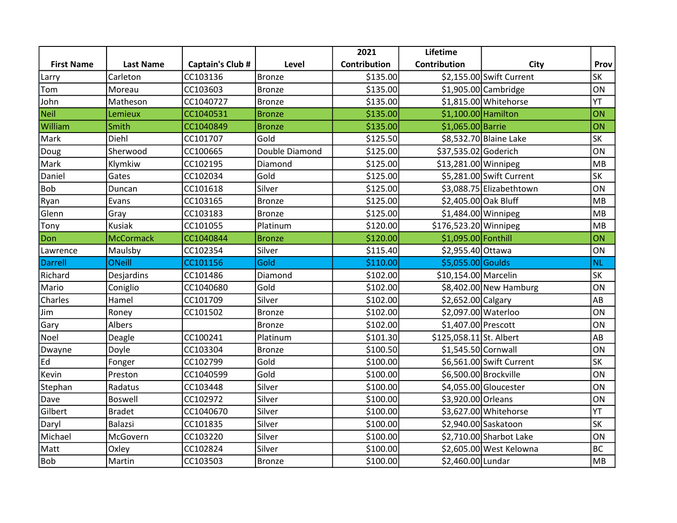|                   |                  |                  |                | 2021                | Lifetime                |                          |           |
|-------------------|------------------|------------------|----------------|---------------------|-------------------------|--------------------------|-----------|
| <b>First Name</b> | <b>Last Name</b> | Captain's Club # | Level          | <b>Contribution</b> | Contribution            | <b>City</b>              | Prov      |
| Larry             | Carleton         | CC103136         | Bronze         | \$135.00            |                         | \$2,155.00 Swift Current | <b>SK</b> |
| Tom               | Moreau           | CC103603         | <b>Bronze</b>  | \$135.00            |                         | $$1,905.00$ Cambridge    | ON        |
| John              | Matheson         | CC1040727        | Bronze         | \$135.00            |                         | \$1,815.00 Whitehorse    | YT        |
| <b>Neil</b>       | Lemieux          | CC1040531        | <b>Bronze</b>  | \$135.00            | \$1,100.00 Hamilton     |                          | ON        |
| William           | Smith            | CC1040849        | <b>Bronze</b>  | \$135.00            | \$1,065.00 Barrie       |                          | ON        |
| Mark              | Diehl            | CC101707         | Gold           | \$125.50            |                         | \$8,532.70 Blaine Lake   | <b>SK</b> |
| Doug              | Sherwood         | CC100665         | Double Diamond | \$125.00            | \$37,535.02 Goderich    |                          | ON        |
| Mark              | Klymkiw          | CC102195         | Diamond        | \$125.00            | \$13,281.00 Winnipeg    |                          | MB        |
| Daniel            | Gates            | CC102034         | Gold           | \$125.00            |                         | \$5,281.00 Swift Current | <b>SK</b> |
| Bob               | Duncan           | CC101618         | Silver         | \$125.00            |                         | \$3,088.75 Elizabethtown | ON        |
| Ryan              | Evans            | CC103165         | <b>Bronze</b>  | \$125.00            | \$2,405.00 Oak Bluff    |                          | MB        |
| Glenn             | Gray             | CC103183         | <b>Bronze</b>  | \$125.00            | \$1,484.00 Winnipeg     |                          | MB        |
| Tony              | <b>Kusiak</b>    | CC101055         | Platinum       | \$120.00            | \$176,523.20 Winnipeg   |                          | MB        |
| Don               | <b>McCormack</b> | CC1040844        | <b>Bronze</b>  | \$120.00            | \$1,095.00 Fonthill     |                          | ON        |
| Lawrence          | Maulsby          | CC102354         | Silver         | \$115.40            | \$2,955.40 Ottawa       |                          | ON        |
| Darrell           | <b>ONeill</b>    | CC101156         | Gold           | \$110.00            | \$5,055.00 Goulds       |                          | <b>NL</b> |
| Richard           | Desjardins       | CC101486         | Diamond        | \$102.00            | \$10,154.00 Marcelin    |                          | SK        |
| Mario             | Coniglio         | CC1040680        | Gold           | \$102.00            |                         | \$8,402.00 New Hamburg   | ON        |
| Charles           | Hamel            | CC101709         | Silver         | \$102.00            | \$2,652.00 Calgary      |                          | AB        |
| Jim               | Roney            | CC101502         | <b>Bronze</b>  | \$102.00            | \$2,097.00 Waterloo     |                          | ON        |
| Gary              | Albers           |                  | <b>Bronze</b>  | \$102.00            | \$1,407.00 Prescott     |                          | ON        |
| Noel              | Deagle           | CC100241         | Platinum       | \$101.30            | \$125,058.11 St. Albert |                          | AB        |
| Dwayne            | Doyle            | CC103304         | Bronze         | \$100.50            | \$1,545.50 Cornwall     |                          | ON        |
| Ed                | Fonger           | CC102799         | Gold           | \$100.00            |                         | \$6,561.00 Swift Current | SK        |
| Kevin             | Preston          | CC1040599        | Gold           | \$100.00            |                         | \$6,500.00 Brockville    | ON        |
| Stephan           | Radatus          | CC103448         | Silver         | \$100.00]           |                         | \$4,055.00 Gloucester    | ON        |
| Dave              | <b>Boswell</b>   | CC102972         | Silver         | \$100.00            | \$3,920.00 Orleans      |                          | ON        |
| Gilbert           | <b>Bradet</b>    | CC1040670        | Silver         | \$100.00            |                         | \$3,627.00 Whitehorse    | YT        |
| Daryl             | <b>Balazsi</b>   | CC101835         | Silver         | \$100.00            |                         | \$2,940.00 Saskatoon     | <b>SK</b> |
| Michael           | McGovern         | CC103220         | Silver         | \$100.00            |                         | \$2,710.00 Sharbot Lake  | ON        |
| Matt              | Oxley            | CC102824         | Silver         | \$100.00]           |                         | \$2,605.00 West Kelowna  | <b>BC</b> |
| Bob               | Martin           | CC103503         | <b>Bronze</b>  | \$100.00]           | \$2,460.00 Lundar       |                          | MB        |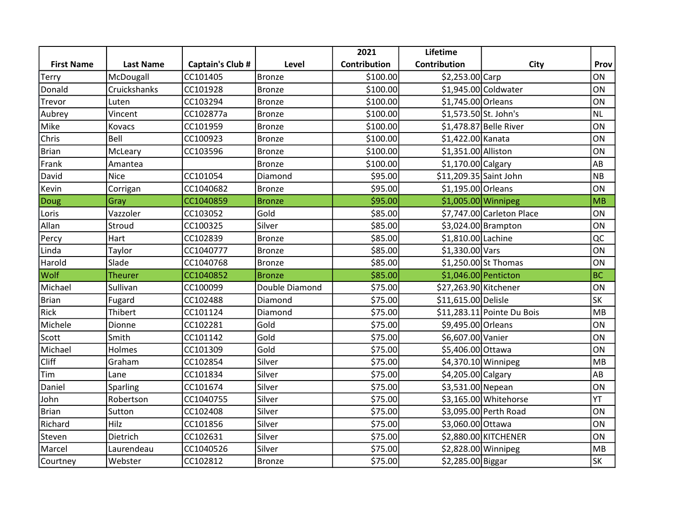|                   |                  |                  |                | 2021                | Lifetime               |                            |           |
|-------------------|------------------|------------------|----------------|---------------------|------------------------|----------------------------|-----------|
| <b>First Name</b> | <b>Last Name</b> | Captain's Club # | Level          | <b>Contribution</b> | Contribution           | <b>City</b>                | Prov      |
| Terry             | McDougall        | CC101405         | Bronze         | \$100.00            | \$2,253.00 Carp        |                            | <b>ON</b> |
| Donald            | Cruickshanks     | CC101928         | <b>Bronze</b>  | \$100.00            |                        | \$1,945.00 Coldwater       | ON        |
| Trevor            | Luten            | CC103294         | Bronze         | \$100.00]           | \$1,745.00 Orleans     |                            | ON        |
| Aubrey            | Vincent          | CC102877a        | <b>Bronze</b>  | \$100.00]           | \$1,573.50 St. John's  |                            | <b>NL</b> |
| Mike              | Kovacs           | CC101959         | <b>Bronze</b>  | \$100.00            |                        | \$1,478.87 Belle River     | ON        |
| Chris             | Bell             | CC100923         | Bronze         | \$100.00]           | \$1,422.00 Kanata      |                            | ON        |
| <b>Brian</b>      | McLeary          | CC103596         | <b>Bronze</b>  | \$100.00            | \$1,351.00 Alliston    |                            | ON        |
| Frank             | Amantea          |                  | Bronze         | \$100.00            | \$1,170.00 Calgary     |                            | AB        |
| David             | <b>Nice</b>      | CC101054         | Diamond        | \$95.00             | \$11,209.35 Saint John |                            | <b>NB</b> |
| Kevin             | Corrigan         | CC1040682        | <b>Bronze</b>  | \$95.00             | \$1,195.00 Orleans     |                            | ON        |
| Doug              | Gray             | CC1040859        | <b>Bronze</b>  | \$95.00             | \$1,005.00 Winnipeg    |                            | MB        |
| Loris             | Vazzoler         | CC103052         | Gold           | \$85.00             |                        | \$7,747.00 Carleton Place  | ON        |
| Allan             | Stroud           | CC100325         | Silver         | \$85.00             |                        | $$3,024.00$ Brampton       | ON        |
| Percy             | Hart             | CC102839         | <b>Bronze</b>  | \$85.00             | \$1,810.00 Lachine     |                            | QC        |
| Linda             | Taylor           | CC1040777        | <b>Bronze</b>  | \$85.00             | \$1,330.00 Vars        |                            | ON        |
| Harold            | Slade            | CC1040768        | <b>Bronze</b>  | \$85.00             |                        | \$1,250.00 St Thomas       | ON        |
| Wolf              | <b>Theurer</b>   | CC1040852        | <b>Bronze</b>  | \$85.00             |                        | \$1,046.00 Penticton       | <b>BC</b> |
| Michael           | Sullivan         | CC100099         | Double Diamond | \$75.00             | \$27,263.90 Kitchener  |                            | ON        |
| <b>Brian</b>      | Fugard           | CC102488         | Diamond        | \$75.00             | \$11,615.00 Delisle    |                            | <b>SK</b> |
| <b>Rick</b>       | Thibert          | CC101124         | Diamond        | \$75.00             |                        | \$11,283.11 Pointe Du Bois | MB        |
| Michele           | Dionne           | CC102281         | Gold           | \$75.00             | \$9,495.00 Orleans     |                            | ON        |
| Scott             | Smith            | CC101142         | Gold           | \$75.00             | \$6,607.00 Vanier      |                            | ON        |
| Michael           | Holmes           | CC101309         | Gold           | \$75.00             | \$5,406.00 Ottawa      |                            | ON        |
| Cliff             | Graham           | CC102854         | Silver         | \$75.00             |                        | $$4,370.10$ Winnipeg       | MB        |
| Tim               | Lane             | CC101834         | Silver         | \$75.00             | \$4,205.00 Calgary     |                            | AB        |
| Daniel            | Sparling         | CC101674         | Silver         | \$75.00             | \$3,531.00 Nepean      |                            | ON        |
| John              | Robertson        | CC1040755        | Silver         | \$75.00             |                        | \$3,165.00 Whitehorse      | YT        |
| <b>Brian</b>      | Sutton           | CC102408         | Silver         | \$75.00             |                        | \$3,095.00 Perth Road      | ON        |
| Richard           | Hilz             | CC101856         | Silver         | \$75.00             | \$3,060.00 Ottawa      |                            | ON        |
| Steven            | Dietrich         | CC102631         | Silver         | \$75.00             |                        | \$2,880.00 KITCHENER       | ON        |
| Marcel            | Laurendeau       | CC1040526        | Silver         | \$75.00             |                        | \$2,828.00 Winnipeg        | MB        |
| Courtney          | Webster          | CC102812         | Bronze         | \$75.00             | \$2,285.00 Biggar      |                            | SK        |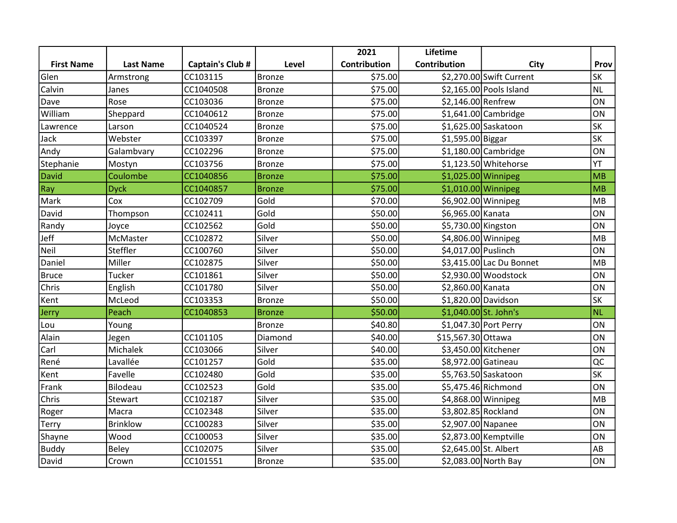|                   |                  |                  |               | 2021         | Lifetime              |                          |           |
|-------------------|------------------|------------------|---------------|--------------|-----------------------|--------------------------|-----------|
| <b>First Name</b> | <b>Last Name</b> | Captain's Club # | Level         | Contribution | Contribution          | <b>City</b>              | Prov      |
| Glen              | Armstrong        | CC103115         | Bronze        | \$75.00      |                       | \$2,270.00 Swift Current | <b>SK</b> |
| Calvin            | Janes            | CC1040508        | <b>Bronze</b> | \$75.00      |                       | \$2,165.00 Pools Island  | <b>NL</b> |
| Dave              | Rose             | CC103036         | Bronze        | \$75.00      | \$2,146.00 Renfrew    |                          | ON        |
| William           | Sheppard         | CC1040612        | <b>Bronze</b> | \$75.00      |                       | $$1,641.00$ Cambridge    | ON        |
| Lawrence          | Larson           | CC1040524        | Bronze        | \$75.00      |                       | \$1,625.00 Saskatoon     | <b>SK</b> |
| Jack              | Webster          | CC103397         | Bronze        | \$75.00      | \$1,595.00 Biggar     |                          | <b>SK</b> |
| Andy              | Galambvary       | CC102296         | <b>Bronze</b> | \$75.00      |                       | $$1,180.00$ Cambridge    | ON        |
| Stephanie         | Mostyn           | CC103756         | Bronze        | \$75.00      |                       | \$1,123.50 Whitehorse    | YT        |
| <b>David</b>      | Coulombe         | CC1040856        | <b>Bronze</b> | \$75.00      |                       | $$1,025.00$ Winnipeg     | MB        |
| Ray               | <b>Dyck</b>      | CC1040857        | <b>Bronze</b> | \$75.00      | $$1,010.00$ Winnipeg  |                          | MB        |
| Mark              | Cox              | CC102709         | Gold          | \$70.00      | \$6,902.00 Winnipeg   |                          | MB        |
| David             | Thompson         | CC102411         | Gold          | \$50.00      | \$6,965.00 Kanata     |                          | ON        |
| Randy             | Joyce            | CC102562         | Gold          | \$50.00      | \$5,730.00 Kingston   |                          | ON        |
| Jeff              | McMaster         | CC102872         | Silver        | \$50.00      |                       | \$4,806.00 Winnipeg      | MB        |
| Neil              | Steffler         | CC100760         | Silver        | \$50.00      | \$4,017.00 Puslinch   |                          | ON        |
| Daniel            | Miller           | CC102875         | Silver        | \$50.00      |                       | \$3,415.00 Lac Du Bonnet | MB        |
| <b>Bruce</b>      | <b>Tucker</b>    | CC101861         | Silver        | \$50.00      |                       | $$2,930.00$ Woodstock    | ON        |
| Chris             | English          | CC101780         | Silver        | \$50.00      | \$2,860.00 Kanata     |                          | ON        |
| Kent              | McLeod           | CC103353         | <b>Bronze</b> | \$50.00      | \$1,820.00 Davidson   |                          | <b>SK</b> |
| Jerry             | Peach            | CC1040853        | <b>Bronze</b> | \$50.00      | \$1,040.00 St. John's |                          | <b>NL</b> |
| Lou               | Young            |                  | <b>Bronze</b> | \$40.80      |                       | \$1,047.30 Port Perry    | ON        |
| Alain             | Jegen            | CC101105         | Diamond       | \$40.00]     | \$15,567.30 Ottawa    |                          | ON        |
| Carl              | Michalek         | CC103066         | Silver        | \$40.00      | \$3,450.00 Kitchener  |                          | ON        |
| René              | Lavallée         | CC101257         | Gold          | \$35.00      | \$8,972.00 Gatineau   |                          | QC        |
| Kent              | Favelle          | CC102480         | Gold          | \$35.00      |                       | \$5,763.50 Saskatoon     | <b>SK</b> |
| Frank             | Bilodeau         | CC102523         | Gold          | \$35.00      |                       | \$5,475.46 Richmond      | ON        |
| Chris             | Stewart          | CC102187         | Silver        | \$35.00      | \$4,868.00 Winnipeg   |                          | MB        |
| Roger             | Macra            | CC102348         | Silver        | \$35.00      | \$3,802.85 Rockland   |                          | ON        |
| Terry             | <b>Brinklow</b>  | CC100283         | Silver        | \$35.00      | \$2,907.00 Napanee    |                          | ON        |
| Shayne            | Wood             | CC100053         | Silver        | \$35.00      |                       | \$2,873.00 Kemptville    | ON        |
| <b>Buddy</b>      | Beley            | CC102075         | Silver        | \$35.00      | \$2,645.00 St. Albert |                          | AB        |
| David             | Crown            | CC101551         | <b>Bronze</b> | \$35.00      |                       | \$2,083.00 North Bay     | ON        |